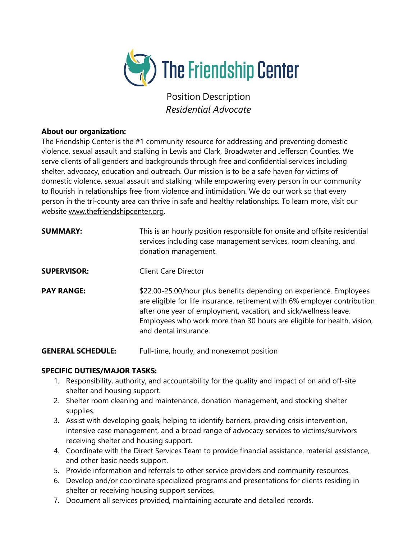

Position Description Residential Advocate

## About our organization:

The Friendship Center is the #1 community resource for addressing and preventing domestic violence, sexual assault and stalking in Lewis and Clark, Broadwater and Jefferson Counties. We serve clients of all genders and backgrounds through free and confidential services including shelter, advocacy, education and outreach. Our mission is to be a safe haven for victims of domestic violence, sexual assault and stalking, while empowering every person in our community to flourish in relationships free from violence and intimidation. We do our work so that every person in the tri-county area can thrive in safe and healthy relationships. To learn more, visit our website www.thefriendshipcenter.org.

| <b>SUMMARY:</b>    | This is an hourly position responsible for onsite and offsite residential<br>services including case management services, room cleaning, and<br>donation management.                                                                                                                                                    |
|--------------------|-------------------------------------------------------------------------------------------------------------------------------------------------------------------------------------------------------------------------------------------------------------------------------------------------------------------------|
| <b>SUPERVISOR:</b> | <b>Client Care Director</b>                                                                                                                                                                                                                                                                                             |
| <b>PAY RANGE:</b>  | \$22.00-25.00/hour plus benefits depending on experience. Employees<br>are eligible for life insurance, retirement with 6% employer contribution<br>after one year of employment, vacation, and sick/wellness leave.<br>Employees who work more than 30 hours are eligible for health, vision,<br>and dental insurance. |

**GENERAL SCHEDULE:** Full-time, hourly, and nonexempt position

## SPECIFIC DUTIES/MAJOR TASKS:

- 1. Responsibility, authority, and accountability for the quality and impact of on and off-site shelter and housing support.
- 2. Shelter room cleaning and maintenance, donation management, and stocking shelter supplies.
- 3. Assist with developing goals, helping to identify barriers, providing crisis intervention, intensive case management, and a broad range of advocacy services to victims/survivors receiving shelter and housing support.
- 4. Coordinate with the Direct Services Team to provide financial assistance, material assistance, and other basic needs support.
- 5. Provide information and referrals to other service providers and community resources.
- 6. Develop and/or coordinate specialized programs and presentations for clients residing in shelter or receiving housing support services.
- 7. Document all services provided, maintaining accurate and detailed records.